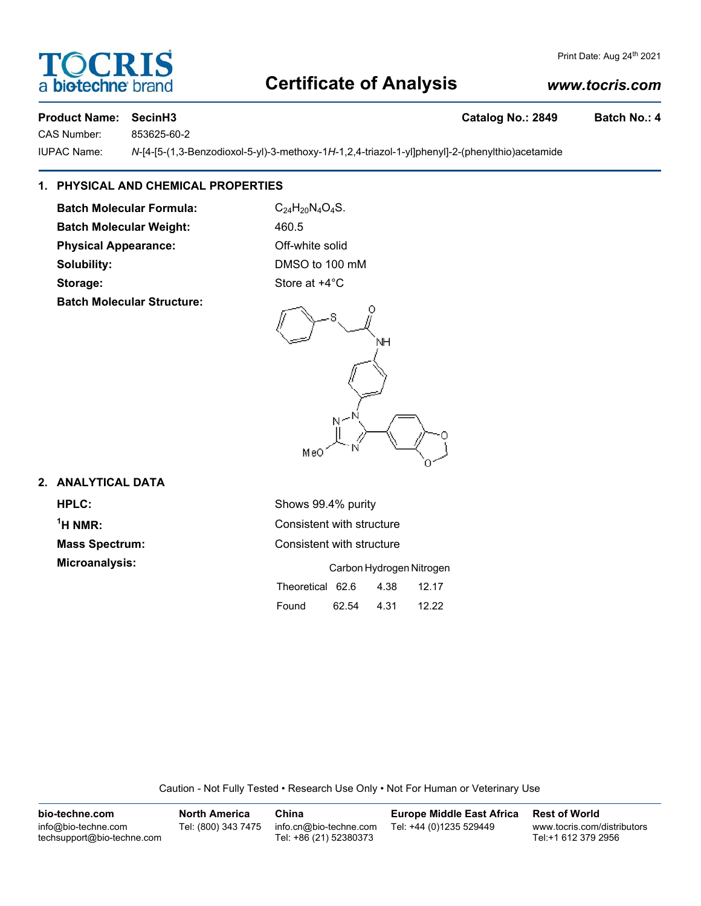## **Certificate of Analysis**

#### *www.tocris.com*

**DCRI** 

**biotechne** 

CAS Number: 853625-60-2

IUPAC Name: *N*-[4-[5-(1,3-Benzodioxol-5-yl)-3-methoxy-1*H*-1,2,4-triazol-1-yl]phenyl]-2-(phenylthio)acetamide

### **1. PHYSICAL AND CHEMICAL PROPERTIES**

**Batch Molecular Formula:** C<sub>24</sub>H<sub>20</sub>N<sub>4</sub>O<sub>4</sub>S. **Batch Molecular Weight:** 460.5

**Physical Appearance:** Off-white solid

**Batch Molecular Structure:**

**Solubility:** DMSO to 100 mM **Storage:** Store at  $+4^{\circ}$ C



#### **2. ANALYTICAL DATA**

 $<sup>1</sup>H NMR$ :</sup>

**HPLC:** Shows 99.4% purity **Consistent with structure Mass Spectrum:** Consistent with structure **Microanalysis:** Carbon Hydrogen Nitrogen Theoretical 62.6 4.38 12.17 Found 62.54 4.31 12.22

Caution - Not Fully Tested • Research Use Only • Not For Human or Veterinary Use

| bio-techne.com                                    | <b>North America</b> | China                                            | <b>Europe Middle East Africa</b> | <b>Rest of World</b>                               |
|---------------------------------------------------|----------------------|--------------------------------------------------|----------------------------------|----------------------------------------------------|
| info@bio-techne.com<br>techsupport@bio-techne.com | Tel: (800) 343 7475  | info.cn@bio-techne.com<br>Tel: +86 (21) 52380373 | Tel: +44 (0)1235 529449          | www.tocris.com/distributors<br>Tel:+1 612 379 2956 |